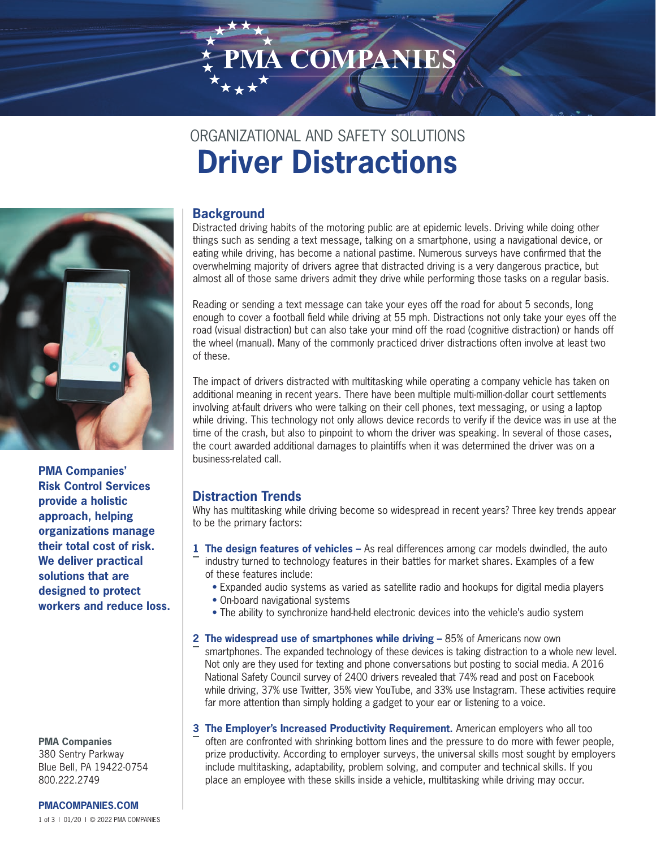# PMA COMPANIE

# ORGANIZATIONAL AND SAFETY SOLUTIONS **Driver Distractions**



**PMA Companies' Risk Control Services provide a holistic approach, helping organizations manage their total cost of risk. We deliver practical solutions that are designed to protect workers and reduce loss.**

**PMA Companies** 380 Sentry Parkway Blue Bell, PA 19422-0754 800.222.2749

1 of 3 l 01/20 l © 2022 PMA COMPANIES **[PMACOMPANIES.COM](https://www.pmacompanies.com)**

# **Background**

Distracted driving habits of the motoring public are at epidemic levels. Driving while doing other things such as sending a text message, talking on a smartphone, using a navigational device, or eating while driving, has become a national pastime. Numerous surveys have confirmed that the overwhelming majority of drivers agree that distracted driving is a very dangerous practice, but almost all of those same drivers admit they drive while performing those tasks on a regular basis.

Reading or sending a text message can take your eyes off the road for about 5 seconds, long enough to cover a football field while driving at 55 mph. Distractions not only take your eyes off the road (visual distraction) but can also take your mind off the road (cognitive distraction) or hands off the wheel (manual). Many of the commonly practiced driver distractions often involve at least two of these.

The impact of drivers distracted with multitasking while operating a company vehicle has taken on additional meaning in recent years. There have been multiple multi-million-dollar court settlements involving at-fault drivers who were talking on their cell phones, text messaging, or using a laptop while driving. This technology not only allows device records to verify if the device was in use at the time of the crash, but also to pinpoint to whom the driver was speaking. In several of those cases, the court awarded additional damages to plaintiffs when it was determined the driver was on a business-related call.

### **Distraction Trends**

Why has multitasking while driving become so widespread in recent years? Three key trends appear to be the primary factors:

- **1 The design features of vehicles** As real differences among car models dwindled, the auto industry turned to technology features in their battles for market shares. Examples of a few of these features include:
	- Expanded audio systems as varied as satellite radio and hookups for digital media players
	- On-board navigational systems
	- The ability to synchronize hand-held electronic devices into the vehicle's audio system
- **2 The widespread use of smartphones while driving 85% of Americans now own** smartphones. The expanded technology of these devices is taking distraction to a whole new level. Not only are they used for texting and phone conversations but posting to social media. A 2016 National Safety Council survey of 2400 drivers revealed that 74% read and post on Facebook while driving, 37% use Twitter, 35% view YouTube, and 33% use Instagram. These activities require far more attention than simply holding a gadget to your ear or listening to a voice.
- **3 The Employer's Increased Productivity Requirement.** American employers who all too often are confronted with shrinking bottom lines and the pressure to do more with fewer people, prize productivity. According to employer surveys, the universal skills most sought by employers include multitasking, adaptability, problem solving, and computer and technical skills. If you place an employee with these skills inside a vehicle, multitasking while driving may occur.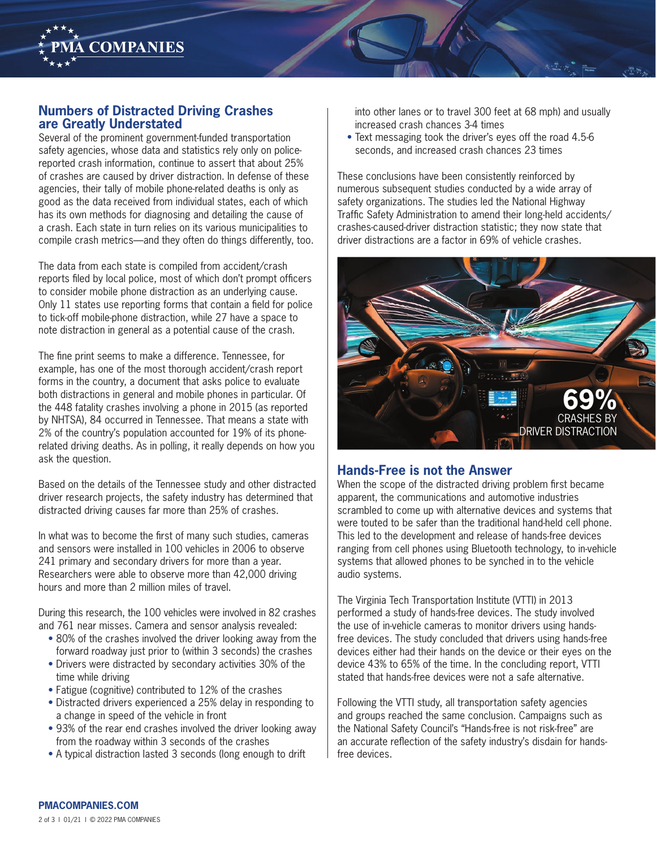

#### **Numbers of Distracted Driving Crashes are Greatly Understated**

Several of the prominent government-funded transportation safety agencies, whose data and statistics rely only on policereported crash information, continue to assert that about 25% of crashes are caused by driver distraction. In defense of these agencies, their tally of mobile phone-related deaths is only as good as the data received from individual states, each of which has its own methods for diagnosing and detailing the cause of a crash. Each state in turn relies on its various municipalities to compile crash metrics—and they often do things differently, too.

The data from each state is compiled from accident/crash reports filed by local police, most of which don't prompt officers to consider mobile phone distraction as an underlying cause. Only 11 states use reporting forms that contain a field for police to tick-off mobile-phone distraction, while 27 have a space to note distraction in general as a potential cause of the crash.

The fine print seems to make a difference. Tennessee, for example, has one of the most thorough accident/crash report forms in the country, a document that asks police to evaluate both distractions in general and mobile phones in particular. Of the 448 fatality crashes involving a phone in 2015 (as reported by NHTSA), 84 occurred in Tennessee. That means a state with 2% of the country's population accounted for 19% of its phonerelated driving deaths. As in polling, it really depends on how you ask the question.

Based on the details of the Tennessee study and other distracted driver research projects, the safety industry has determined that distracted driving causes far more than 25% of crashes.

In what was to become the first of many such studies, cameras and sensors were installed in 100 vehicles in 2006 to observe 241 primary and secondary drivers for more than a year. Researchers were able to observe more than 42,000 driving hours and more than 2 million miles of travel.

During this research, the 100 vehicles were involved in 82 crashes and 761 near misses. Camera and sensor analysis revealed:

- 80% of the crashes involved the driver looking away from the forward roadway just prior to (within 3 seconds) the crashes
- Drivers were distracted by secondary activities 30% of the time while driving
- Fatigue (cognitive) contributed to 12% of the crashes
- Distracted drivers experienced a 25% delay in responding to a change in speed of the vehicle in front
- 93% of the rear end crashes involved the driver looking away from the roadway within 3 seconds of the crashes
- A typical distraction lasted 3 seconds (long enough to drift

into other lanes or to travel 300 feet at 68 mph) and usually increased crash chances 3-4 times

• Text messaging took the driver's eyes off the road 4.5-6 seconds, and increased crash chances 23 times

These conclusions have been consistently reinforced by numerous subsequent studies conducted by a wide array of safety organizations. The studies led the National Highway Traffic Safety Administration to amend their long-held accidents/ crashes-caused-driver distraction statistic; they now state that driver distractions are a factor in 69% of vehicle crashes.



#### **Hands-Free is not the Answer**

When the scope of the distracted driving problem first became apparent, the communications and automotive industries scrambled to come up with alternative devices and systems that were touted to be safer than the traditional hand-held cell phone. This led to the development and release of hands-free devices ranging from cell phones using Bluetooth technology, to in-vehicle systems that allowed phones to be synched in to the vehicle audio systems.

The Virginia Tech Transportation Institute (VTTI) in 2013 performed a study of hands-free devices. The study involved the use of in-vehicle cameras to monitor drivers using handsfree devices. The study concluded that drivers using hands-free devices either had their hands on the device or their eyes on the device 43% to 65% of the time. In the concluding report, VTTI stated that hands-free devices were not a safe alternative.

Following the VTTI study, all transportation safety agencies and groups reached the same conclusion. Campaigns such as the National Safety Council's "Hands-free is not risk-free" are an accurate reflection of the safety industry's disdain for handsfree devices.